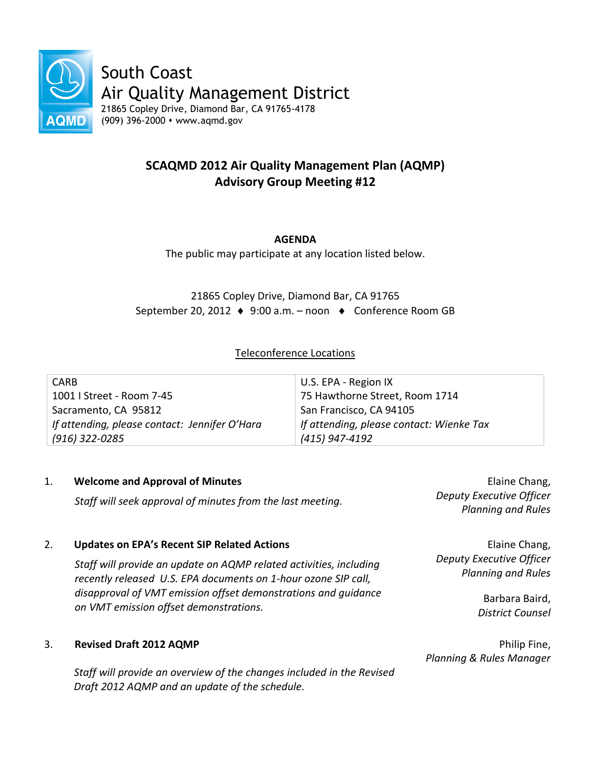

# **SCAQMD 2012 Air Quality Management Plan (AQMP) Advisory Group Meeting #12**

# **AGENDA**

The public may participate at any location listed below.

21865 Copley Drive, Diamond Bar, CA 91765 September 20, 2012 ♦ 9:00 a.m. – noon ♦ Conference Room GB

# Teleconference Locations

| <b>CARB</b>                                   | U.S. EPA - Region IX                     |
|-----------------------------------------------|------------------------------------------|
| 1001   Street - Room 7-45                     | 75 Hawthorne Street, Room 1714           |
| Sacramento, CA 95812                          | San Francisco, CA 94105                  |
| If attending, please contact: Jennifer O'Hara | If attending, please contact: Wienke Tax |
| (916) 322-0285                                | (415) 947-4192                           |

## 1. **Welcome and Approval of Minutes**

*Staff will seek approval of minutes from the last meeting.*

## 2. **Updates on EPA's Recent SIP Related Actions**

*Staff will provide an update on AQMP related activities, including recently released U.S. EPA documents on 1-hour ozone SIP call, disapproval of VMT emission offset demonstrations and guidance on VMT emission offset demonstrations.*

## 3. **Revised Draft 2012 AQMP**

*Staff will provide an overview of the changes included in the Revised Draft 2012 AQMP and an update of the schedule.*

Elaine Chang, *Deputy Executive Officer Planning and Rules*

Elaine Chang, *Deputy Executive Officer Planning and Rules*

> Barbara Baird, *District Counsel*

Philip Fine, *Planning & Rules Manager*